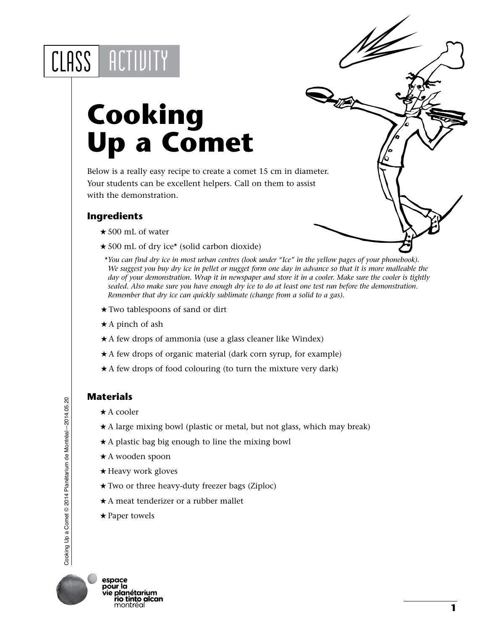## CLASS | ACTIVITY

## **Cooking Up a Comet**

Below is a really easy recipe to create a comet 15 cm in diameter. Your students can be excellent helpers. Call on them to assist with the demonstration.

## **Ingredients**

- ★500 mL of water
- 500 mL of dry ice\* (solid carbon dioxide)
- \**You can find dry ice in most urban centres (look under "Ice" in the yellow pages of your phonebook). We suggest you buy dry ice in pellet or nugget form one day in advance so that it is more malleable the day of your demonstration. Wrap it in newspaper and store it in a cooler. Make sure the cooler is tightly sealed. Also make sure you have enough dry ice to do at least one test run before the demonstration. Remember that dry ice can quickly sublimate (change from a solid to a gas).*
- Two tablespoons of sand or dirt
- $\star$  A pinch of ash
- $\star$  A few drops of ammonia (use a glass cleaner like Windex)
- \* A few drops of organic material (dark corn syrup, for example)
- $\star$  A few drops of food colouring (to turn the mixture very dark)

## **Materials**

- $\star$  A cooler
- $\star$  A large mixing bowl (plastic or metal, but not glass, which may break)
- $\star$  A plastic bag big enough to line the mixing bowl
- A wooden spoon
- ★ Heavy work gloves
- Two or three heavy-duty freezer bags (Ziploc)
- $\star$  A meat tenderizer or a rubber mallet
- $\star$  Paper towels



**1**